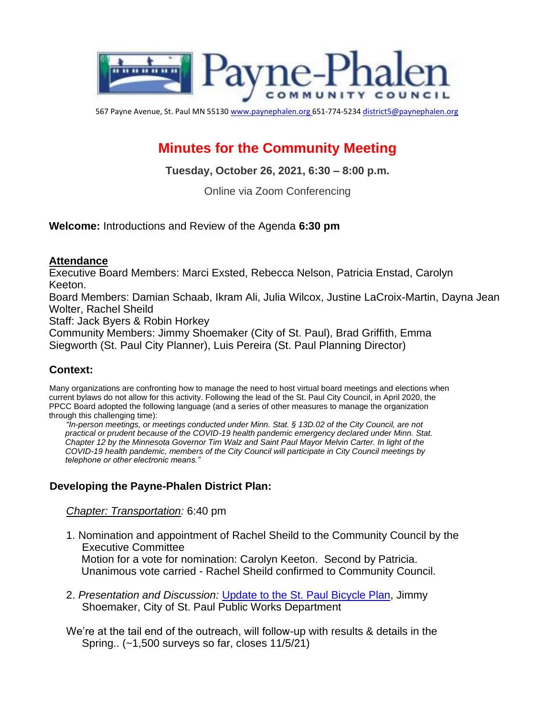

567 Payne Avenue, St. Paul MN 55130 www.paynephalen.org 651-774-5234 district5@paynephalen.org

# **Minutes for the Community Meeting**

**Tuesday, October 26, 2021, 6:30 – 8:00 p.m.** 

Online via Zoom Conferencing

**Welcome:** Introductions and Review of the Agenda **6:30 pm** 

#### **Attendance**

Executive Board Members: Marci Exsted, Rebecca Nelson, Patricia Enstad, Carolyn Keeton.

Board Members: Damian Schaab, Ikram Ali, Julia Wilcox, Justine LaCroix-Martin, Dayna Jean Wolter, Rachel Sheild

Staff: Jack Byers & Robin Horkey

Community Members: Jimmy Shoemaker (City of St. Paul), Brad Griffith, Emma Siegworth (St. Paul City Planner), Luis Pereira (St. Paul Planning Director)

## **Context:**

Many organizations are confronting how to manage the need to host virtual board meetings and elections when current bylaws do not allow for this activity. Following the lead of the St. Paul City Council, in April 2020, the PPCC Board adopted the following language (and a series of other measures to manage the organization through this challenging time):

*"In-person meetings, or meetings conducted under Minn. Stat. § 13D.02 of the City Council, are not practical or prudent because of the COVID-19 health pandemic emergency declared under Minn. Stat. Chapter 12 by the Minnesota Governor Tim Walz and Saint Paul Mayor Melvin Carter. In light of the COVID-19 health pandemic, members of the City Council will participate in City Council meetings by telephone or other electronic means."* 

#### **Developing the Payne-Phalen District Plan:**

*Chapter: Transportation:* 6:40 pm

- 1. Nomination and appointment of Rachel Sheild to the Community Council by the Executive Committee Motion for a vote for nomination: Carolyn Keeton. Second by Patricia. Unanimous vote carried - Rachel Sheild confirmed to Community Council.
- 2. *Presentation and Discussion:* Update to the St. Paul Bicycle Plan, Jimmy Shoemaker, City of St. Paul Public Works Department

We're at the tail end of the outreach, will follow-up with results & details in the Spring.. (~1,500 surveys so far, closes 11/5/21)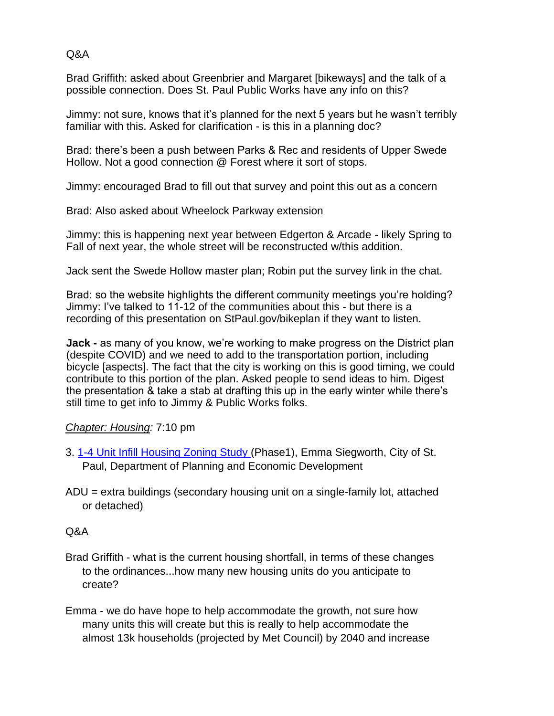Q&A

Brad Griffith: asked about Greenbrier and Margaret [bikeways] and the talk of a possible connection. Does St. Paul Public Works have any info on this?

Jimmy: not sure, knows that it's planned for the next 5 years but he wasn't terribly familiar with this. Asked for clarification - is this in a planning doc?

Brad: there's been a push between Parks & Rec and residents of Upper Swede Hollow. Not a good connection @ Forest where it sort of stops.

Jimmy: encouraged Brad to fill out that survey and point this out as a concern

Brad: Also asked about Wheelock Parkway extension

Jimmy: this is happening next year between Edgerton & Arcade - likely Spring to Fall of next year, the whole street will be reconstructed w/this addition.

Jack sent the Swede Hollow master plan; Robin put the survey link in the chat.

Brad: so the website highlights the different community meetings you're holding? Jimmy: I've talked to 11-12 of the communities about this - but there is a recording of this presentation on StPaul.gov/bikeplan if they want to listen.

**Jack -** as many of you know, we're working to make progress on the District plan (despite COVID) and we need to add to the transportation portion, including bicycle [aspects]. The fact that the city is working on this is good timing, we could contribute to this portion of the plan. Asked people to send ideas to him. Digest the presentation & take a stab at drafting this up in the early winter while there's still time to get info to Jimmy & Public Works folks.

## *Chapter: Housing:* 7:10 pm

- 3. 1-4 Unit Infill Housing Zoning Study (Phase1), Emma Siegworth, City of St. Paul, Department of Planning and Economic Development
- ADU = extra buildings (secondary housing unit on a single-family lot, attached or detached)

## Q&A

- Brad Griffith what is the current housing shortfall, in terms of these changes to the ordinances...how many new housing units do you anticipate to create?
- Emma we do have hope to help accommodate the growth, not sure how many units this will create but this is really to help accommodate the almost 13k households (projected by Met Council) by 2040 and increase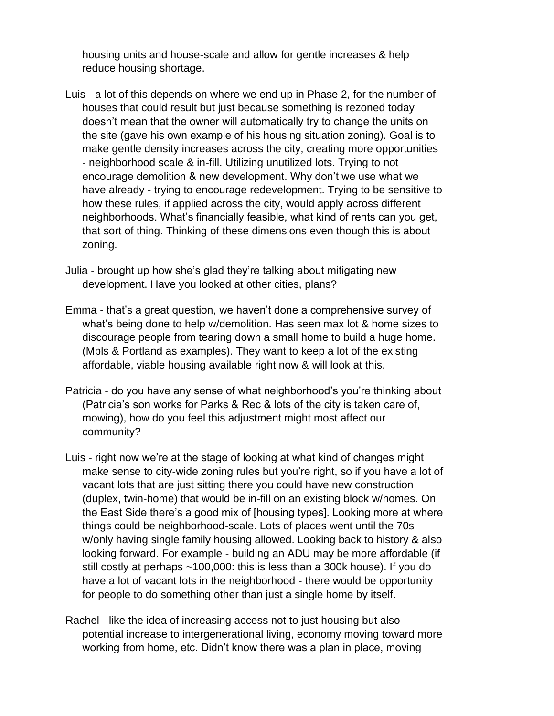housing units and house-scale and allow for gentle increases & help reduce housing shortage.

- Luis a lot of this depends on where we end up in Phase 2, for the number of houses that could result but just because something is rezoned today doesn't mean that the owner will automatically try to change the units on the site (gave his own example of his housing situation zoning). Goal is to make gentle density increases across the city, creating more opportunities - neighborhood scale & in-fill. Utilizing unutilized lots. Trying to not encourage demolition & new development. Why don't we use what we have already - trying to encourage redevelopment. Trying to be sensitive to how these rules, if applied across the city, would apply across different neighborhoods. What's financially feasible, what kind of rents can you get, that sort of thing. Thinking of these dimensions even though this is about zoning.
- Julia brought up how she's glad they're talking about mitigating new development. Have you looked at other cities, plans?
- Emma that's a great question, we haven't done a comprehensive survey of what's being done to help w/demolition. Has seen max lot & home sizes to discourage people from tearing down a small home to build a huge home. (Mpls & Portland as examples). They want to keep a lot of the existing affordable, viable housing available right now & will look at this.
- Patricia do you have any sense of what neighborhood's you're thinking about (Patricia's son works for Parks & Rec & lots of the city is taken care of, mowing), how do you feel this adjustment might most affect our community?
- Luis right now we're at the stage of looking at what kind of changes might make sense to city-wide zoning rules but you're right, so if you have a lot of vacant lots that are just sitting there you could have new construction (duplex, twin-home) that would be in-fill on an existing block w/homes. On the East Side there's a good mix of [housing types]. Looking more at where things could be neighborhood-scale. Lots of places went until the 70s w/only having single family housing allowed. Looking back to history & also looking forward. For example - building an ADU may be more affordable (if still costly at perhaps ~100,000: this is less than a 300k house). If you do have a lot of vacant lots in the neighborhood - there would be opportunity for people to do something other than just a single home by itself.
- Rachel like the idea of increasing access not to just housing but also potential increase to intergenerational living, economy moving toward more working from home, etc. Didn't know there was a plan in place, moving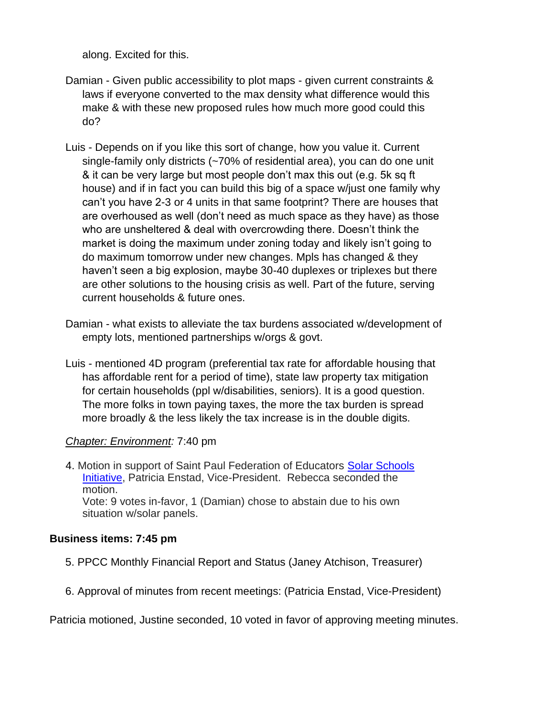along. Excited for this.

- Damian Given public accessibility to plot maps given current constraints & laws if everyone converted to the max density what difference would this make & with these new proposed rules how much more good could this do?
- Luis Depends on if you like this sort of change, how you value it. Current single-family only districts (~70% of residential area), you can do one unit & it can be very large but most people don't max this out (e.g. 5k sq ft house) and if in fact you can build this big of a space w/just one family why can't you have 2-3 or 4 units in that same footprint? There are houses that are overhoused as well (don't need as much space as they have) as those who are unsheltered & deal with overcrowding there. Doesn't think the market is doing the maximum under zoning today and likely isn't going to do maximum tomorrow under new changes. Mpls has changed & they haven't seen a big explosion, maybe 30-40 duplexes or triplexes but there are other solutions to the housing crisis as well. Part of the future, serving current households & future ones.
- Damian what exists to alleviate the tax burdens associated w/development of empty lots, mentioned partnerships w/orgs & govt.
- Luis mentioned 4D program (preferential tax rate for affordable housing that has affordable rent for a period of time), state law property tax mitigation for certain households (ppl w/disabilities, seniors). It is a good question. The more folks in town paying taxes, the more the tax burden is spread more broadly & the less likely the tax increase is in the double digits.

#### *Chapter: Environment:* 7:40 pm

4. Motion in support of Saint Paul Federation of Educators Solar Schools Initiative, Patricia Enstad, Vice-President. Rebecca seconded the motion. Vote: 9 votes in-favor, 1 (Damian) chose to abstain due to his own situation w/solar panels.

#### **Business items: 7:45 pm**

- 5. PPCC Monthly Financial Report and Status (Janey Atchison, Treasurer)
- 6. Approval of minutes from recent meetings: (Patricia Enstad, Vice-President)

Patricia motioned, Justine seconded, 10 voted in favor of approving meeting minutes.